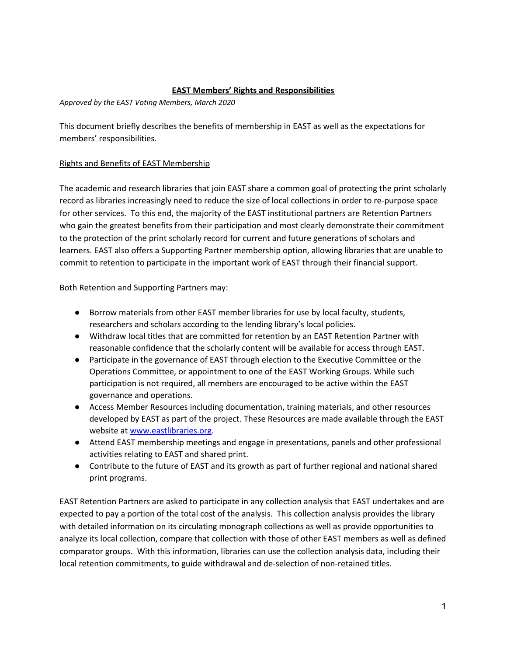## **EAST Members' Rights and Responsibilities**

*Approved by the EAST Voting Members, March 2020*

This document briefly describes the benefits of membership in EAST as well as the expectations for members' responsibilities.

## Rights and Benefits of EAST Membership

The academic and research libraries that join EAST share a common goal of protecting the print scholarly record as libraries increasingly need to reduce the size of local collections in order to re-purpose space for other services. To this end, the majority of the EAST institutional partners are Retention Partners who gain the greatest benefits from their participation and most clearly demonstrate their commitment to the protection of the print scholarly record for current and future generations of scholars and learners. EAST also offers a Supporting Partner membership option, allowing libraries that are unable to commit to retention to participate in the important work of EAST through their financial support.

Both Retention and Supporting Partners may:

- Borrow materials from other EAST member libraries for use by local faculty, students, researchers and scholars according to the lending library's local policies.
- Withdraw local titles that are committed for retention by an EAST Retention Partner with reasonable confidence that the scholarly content will be available for access through EAST.
- Participate in the governance of EAST through election to the Executive Committee or the Operations Committee, or appointment to one of the EAST Working Groups. While such participation is not required, all members are encouraged to be active within the EAST governance and operations.
- Access Member Resources including documentation, training materials, and other resources developed by EAST as part of the project. These Resources are made available through the EAST website at www.eastlibraries.org.
- Attend EAST membership meetings and engage in presentations, panels and other professional activities relating to EAST and shared print.
- Contribute to the future of EAST and its growth as part of further regional and national shared print programs.

EAST Retention Partners are asked to participate in any collection analysis that EAST undertakes and are expected to pay a portion of the total cost of the analysis. This collection analysis provides the library with detailed information on its circulating monograph collections as well as provide opportunities to analyze its local collection, compare that collection with those of other EAST members as well as defined comparator groups. With this information, libraries can use the collection analysis data, including their local retention commitments, to guide withdrawal and de-selection of non-retained titles.